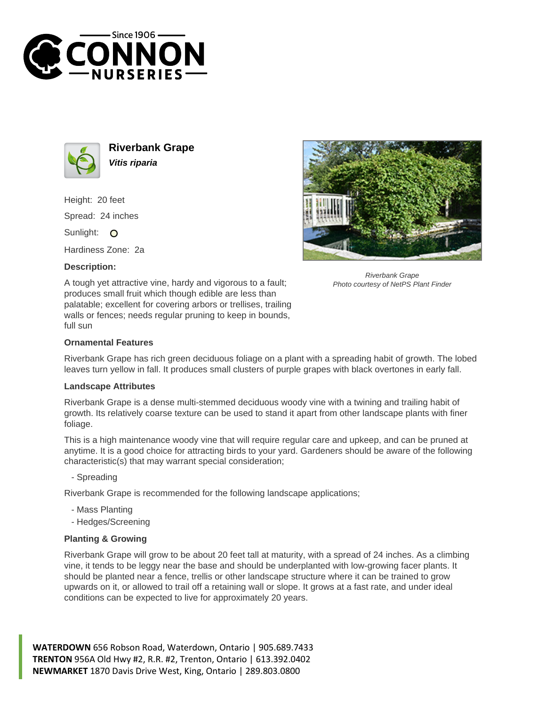



**Riverbank Grape Vitis riparia**

Height: 20 feet Spread: 24 inches Sunlight: O

Hardiness Zone: 2a

## **Description:**



Riverbank Grape Photo courtesy of NetPS Plant Finder

A tough yet attractive vine, hardy and vigorous to a fault; produces small fruit which though edible are less than palatable; excellent for covering arbors or trellises, trailing walls or fences; needs regular pruning to keep in bounds, full sun

## **Ornamental Features**

Riverbank Grape has rich green deciduous foliage on a plant with a spreading habit of growth. The lobed leaves turn yellow in fall. It produces small clusters of purple grapes with black overtones in early fall.

## **Landscape Attributes**

Riverbank Grape is a dense multi-stemmed deciduous woody vine with a twining and trailing habit of growth. Its relatively coarse texture can be used to stand it apart from other landscape plants with finer foliage.

This is a high maintenance woody vine that will require regular care and upkeep, and can be pruned at anytime. It is a good choice for attracting birds to your yard. Gardeners should be aware of the following characteristic(s) that may warrant special consideration;

- Spreading

Riverbank Grape is recommended for the following landscape applications;

- Mass Planting
- Hedges/Screening

## **Planting & Growing**

Riverbank Grape will grow to be about 20 feet tall at maturity, with a spread of 24 inches. As a climbing vine, it tends to be leggy near the base and should be underplanted with low-growing facer plants. It should be planted near a fence, trellis or other landscape structure where it can be trained to grow upwards on it, or allowed to trail off a retaining wall or slope. It grows at a fast rate, and under ideal conditions can be expected to live for approximately 20 years.

**WATERDOWN** 656 Robson Road, Waterdown, Ontario | 905.689.7433 **TRENTON** 956A Old Hwy #2, R.R. #2, Trenton, Ontario | 613.392.0402 **NEWMARKET** 1870 Davis Drive West, King, Ontario | 289.803.0800